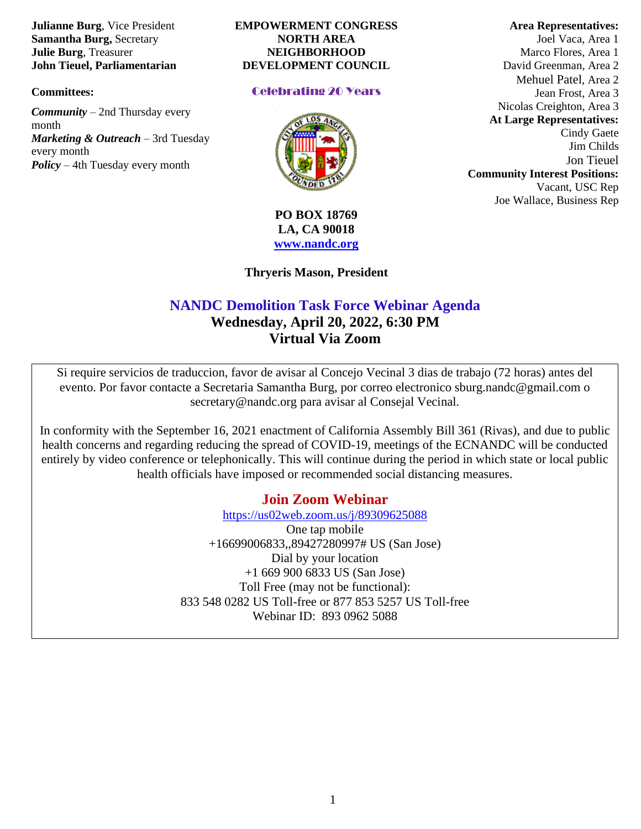**Julianne Burg**, Vice President **Samantha Burg,** Secretary **Julie Burg**, Treasurer **John Tieuel, Parliamentarian**

### **Committees:**

*Community* – 2nd Thursday every month *Marketing & Outreach* – 3rd Tuesday every month *Policy* – 4th Tuesday every month

#### **EMPOWERMENT CONGRESS NORTH AREA NEIGHBORHOOD DEVELOPMENT COUNCIL**

### Celebrating 20 Years



**PO BOX 18769 LA, CA 90018 [www.nandc.org](http://www.nandc.org/)**

**Thryeris Mason, President**

# **NANDC Demolition Task Force Webinar Agenda Wednesday, April 20, 2022, 6:30 PM Virtual Via Zoom**

Si require servicios de traduccion, favor de avisar al Concejo Vecinal 3 dias de trabajo (72 horas) antes del evento. Por favor contacte a Secretaria Samantha Burg, por correo electronico sburg.nandc@gmail.com o secretary@nandc.org para avisar al Consejal Vecinal.

In conformity with the September 16, 2021 enactment of California Assembly Bill 361 (Rivas), and due to public health concerns and regarding reducing the spread of COVID-19, meetings of the ECNANDC will be conducted entirely by video conference or telephonically. This will continue during the period in which state or local public health officials have imposed or recommended social distancing measures.

# **Join Zoom Webinar**

<https://us02web.zoom.us/j/89309625088> One tap mobile +16699006833,,89427280997# US (San Jose) Dial by your location +1 669 900 6833 US (San Jose) Toll Free (may not be functional): 833 548 0282 US Toll-free or 877 853 5257 US Toll-free Webinar ID: 893 0962 5088

**Area Representatives:** Joel Vaca, Area 1 Marco Flores, Area 1 David Greenman, Area 2 Mehuel Patel, Area 2 Jean Frost, Area 3 Nicolas Creighton, Area 3 **At Large Representatives:** Cindy Gaete Jim Childs Jon Tieuel **Community Interest Positions:** Vacant, USC Rep Joe Wallace, Business Rep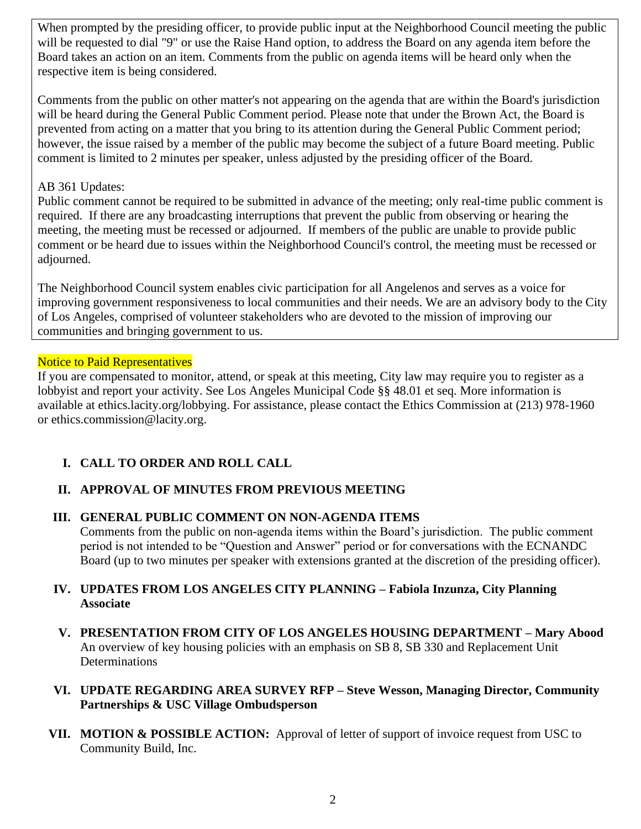When prompted by the presiding officer, to provide public input at the Neighborhood Council meeting the public will be requested to dial "9" or use the Raise Hand option, to address the Board on any agenda item before the Board takes an action on an item. Comments from the public on agenda items will be heard only when the respective item is being considered.

Comments from the public on other matter's not appearing on the agenda that are within the Board's jurisdiction will be heard during the General Public Comment period. Please note that under the Brown Act, the Board is prevented from acting on a matter that you bring to its attention during the General Public Comment period; however, the issue raised by a member of the public may become the subject of a future Board meeting. Public comment is limited to 2 minutes per speaker, unless adjusted by the presiding officer of the Board.

## AB 361 Updates:

Public comment cannot be required to be submitted in advance of the meeting; only real-time public comment is required. If there are any broadcasting interruptions that prevent the public from observing or hearing the meeting, the meeting must be recessed or adjourned. If members of the public are unable to provide public comment or be heard due to issues within the Neighborhood Council's control, the meeting must be recessed or adjourned.

The Neighborhood Council system enables civic participation for all Angelenos and serves as a voice for improving government responsiveness to local communities and their needs. We are an advisory body to the City of Los Angeles, comprised of volunteer stakeholders who are devoted to the mission of improving our communities and bringing government to us.

### Notice to Paid Representatives

If you are compensated to monitor, attend, or speak at this meeting, City law may require you to register as a lobbyist and report your activity. See Los Angeles Municipal Code §§ 48.01 et seq. More information is available at ethics.lacity.org/lobbying. For assistance, please contact the Ethics Commission at (213) 978-1960 or ethics.commission@lacity.org.

# **I. CALL TO ORDER AND ROLL CALL**

# **II. APPROVAL OF MINUTES FROM PREVIOUS MEETING**

### **III. GENERAL PUBLIC COMMENT ON NON-AGENDA ITEMS**

Comments from the public on non-agenda items within the Board's jurisdiction. The public comment period is not intended to be "Question and Answer" period or for conversations with the ECNANDC Board (up to two minutes per speaker with extensions granted at the discretion of the presiding officer).

### **IV. UPDATES FROM LOS ANGELES CITY PLANNING – Fabiola Inzunza, City Planning Associate**

- **V. PRESENTATION FROM CITY OF LOS ANGELES HOUSING DEPARTMENT – Mary Abood** An overview of key housing policies with an emphasis on SB 8, SB 330 and Replacement Unit Determinations
- **VI. UPDATE REGARDING AREA SURVEY RFP – Steve Wesson, Managing Director, Community Partnerships & USC Village Ombudsperson**
- **VII. MOTION & POSSIBLE ACTION:** Approval of letter of support of invoice request from USC to Community Build, Inc.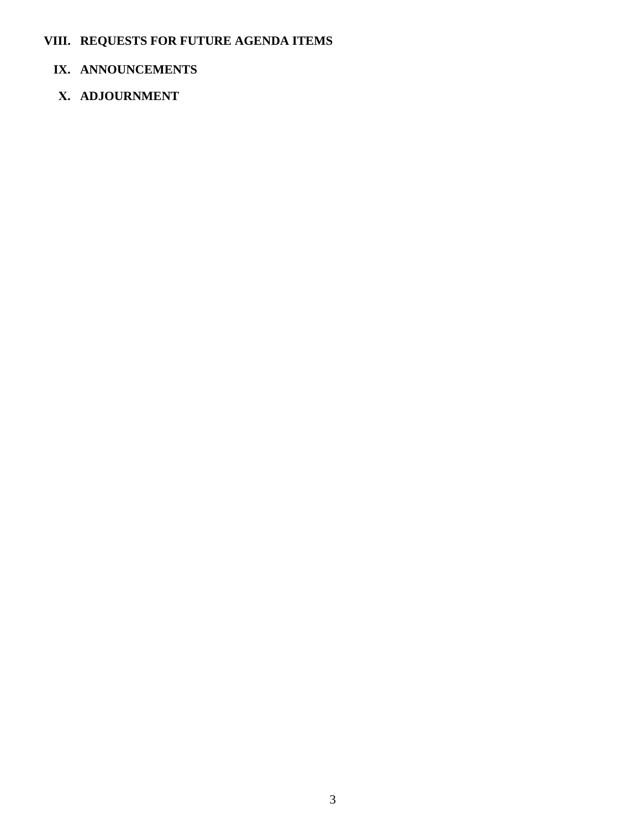# **VIII. REQUESTS FOR FUTURE AGENDA ITEMS**

### **IX. ANNOUNCEMENTS**

**X. ADJOURNMENT**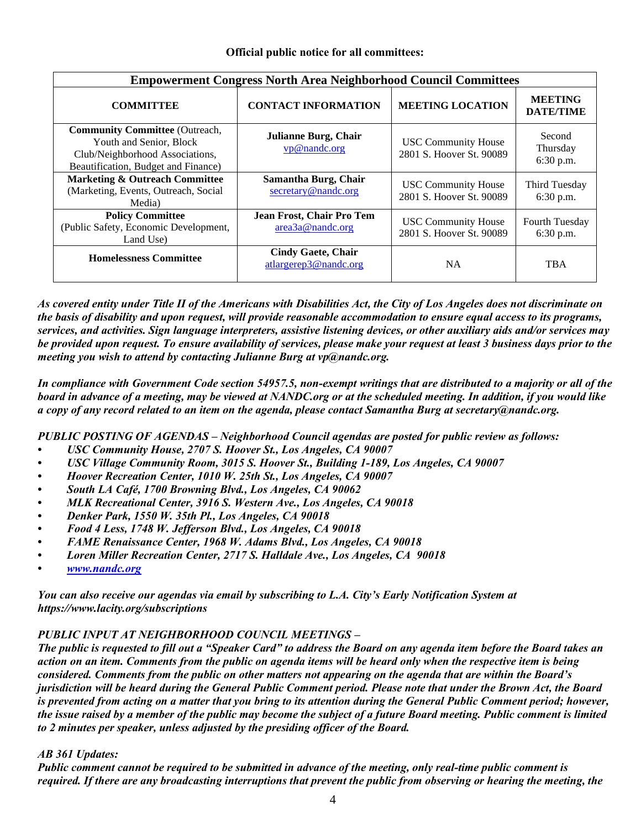| <b>Empowerment Congress North Area Neighborhood Council Committees</b>                                                                     |                                                    |                                                        |                                    |
|--------------------------------------------------------------------------------------------------------------------------------------------|----------------------------------------------------|--------------------------------------------------------|------------------------------------|
| <b>COMMITTEE</b>                                                                                                                           | <b>CONTACT INFORMATION</b>                         | <b>MEETING LOCATION</b>                                | <b>MEETING</b><br><b>DATE/TIME</b> |
| <b>Community Committee</b> (Outreach,<br>Youth and Senior, Block<br>Club/Neighborhood Associations,<br>Beautification, Budget and Finance) | <b>Julianne Burg, Chair</b><br>vp@nandc.org        | <b>USC Community House</b><br>2801 S. Hoover St. 90089 | Second<br>Thursday<br>6:30 p.m.    |
| <b>Marketing &amp; Outreach Committee</b><br>(Marketing, Events, Outreach, Social<br>Media)                                                | Samantha Burg, Chair<br>secretary@nandc.org        | <b>USC Community House</b><br>2801 S. Hoover St. 90089 | Third Tuesday<br>$6:30$ p.m.       |
| <b>Policy Committee</b><br>(Public Safety, Economic Development,<br>Land Use)                                                              | Jean Frost, Chair Pro Tem<br>area3a@nandc.org      | <b>USC Community House</b><br>2801 S. Hoover St. 90089 | <b>Fourth Tuesday</b><br>6:30 p.m. |
| <b>Homelessness Committee</b>                                                                                                              | <b>Cindy Gaete, Chair</b><br>atlargerep3@nandc.org | <b>NA</b>                                              | <b>TBA</b>                         |

*As covered entity under Title II of the Americans with Disabilities Act, the City of Los Angeles does not discriminate on the basis of disability and upon request, will provide reasonable accommodation to ensure equal access to its programs, services, and activities. Sign language interpreters, assistive listening devices, or other auxiliary aids and/or services may be provided upon request. To ensure availability of services, please make your request at least 3 business days prior to the meeting you wish to attend by contacting Julianne Burg at vp@nandc.org.*

*In compliance with Government Code section 54957.5, non-exempt writings that are distributed to a majority or all of the board in advance of a meeting, may be viewed at NANDC.org or at the scheduled meeting. In addition, if you would like a copy of any record related to an item on the agenda, please contact Samantha Burg at secretary@nandc.org.*

*PUBLIC POSTING OF AGENDAS – Neighborhood Council agendas are posted for public review as follows:*

- *• USC Community House, 2707 S. Hoover St., Los Angeles, CA 90007*
- *• USC Village Community Room, 3015 S. Hoover St., Building 1-189, Los Angeles, CA 90007*
- *• Hoover Recreation Center, 1010 W. 25th St., Los Angeles, CA 90007*
- *• South LA Café, 1700 Browning Blvd., Los Angeles, CA 90062*
- *• MLK Recreational Center, 3916 S. Western Ave., Los Angeles, CA 90018*
- *• Denker Park, 1550 W. 35th Pl., Los Angeles, CA 90018*
- *• Food 4 Less, 1748 W. Jefferson Blvd., Los Angeles, CA 90018*
- *• FAME Renaissance Center, 1968 W. Adams Blvd., Los Angeles, CA 90018*
- *• Loren Miller Recreation Center, 2717 S. Halldale Ave., Los Angeles, CA 90018*
- *• [www.nandc.org](http://www.nandc.org/)*

*You can also receive our agendas via email by subscribing to L.A. City's Early Notification System at https://www.lacity.org/subscriptions*

### *PUBLIC INPUT AT NEIGHBORHOOD COUNCIL MEETINGS –*

*The public is requested to fill out a "Speaker Card" to address the Board on any agenda item before the Board takes an action on an item. Comments from the public on agenda items will be heard only when the respective item is being considered. Comments from the public on other matters not appearing on the agenda that are within the Board's jurisdiction will be heard during the General Public Comment period. Please note that under the Brown Act, the Board is prevented from acting on a matter that you bring to its attention during the General Public Comment period; however, the issue raised by a member of the public may become the subject of a future Board meeting. Public comment is limited to 2 minutes per speaker, unless adjusted by the presiding officer of the Board.*

#### *AB 361 Updates:*

*Public comment cannot be required to be submitted in advance of the meeting, only real-time public comment is required. If there are any broadcasting interruptions that prevent the public from observing or hearing the meeting, the*